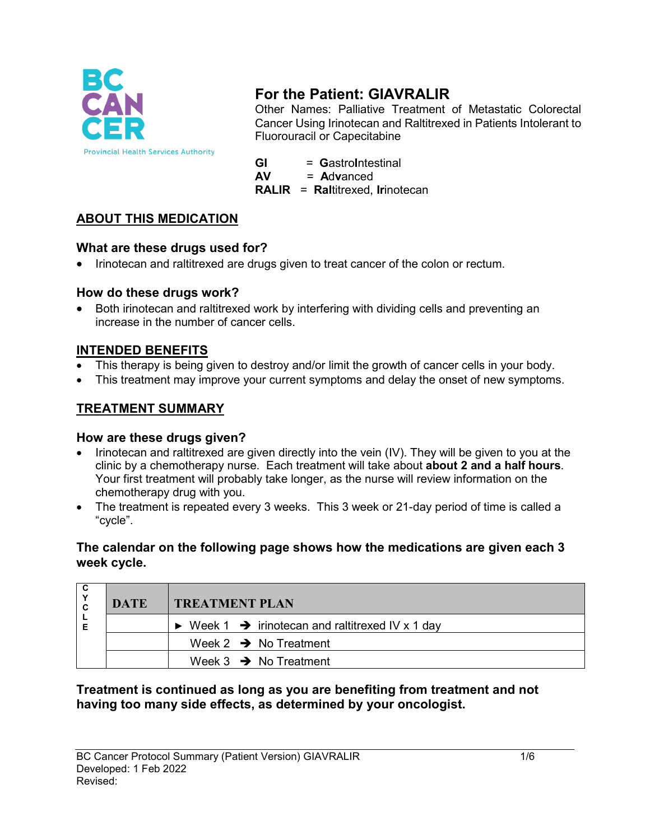

# **For the Patient: GIAVRALIR**

Other Names: Palliative Treatment of Metastatic Colorectal Cancer Using Irinotecan and Raltitrexed in Patients Intolerant to Fluorouracil or Capecitabine

**GI** = GastroIntestinal<br>**AV** = Advanced

**AV** = **A**d**v**anced

**RALIR** = **Ral**titrexed, **Ir**inotecan

# **ABOUT THIS MEDICATION**

## **What are these drugs used for?**

• Irinotecan and raltitrexed are drugs given to treat cancer of the colon or rectum.

### **How do these drugs work?**

• Both irinotecan and raltitrexed work by interfering with dividing cells and preventing an increase in the number of cancer cells.

## **INTENDED BENEFITS**

- This therapy is being given to destroy and/or limit the growth of cancer cells in your body.
- This treatment may improve your current symptoms and delay the onset of new symptoms.

# **TREATMENT SUMMARY**

### **How are these drugs given?**

- Irinotecan and raltitrexed are given directly into the vein (IV). They will be given to you at the clinic by a chemotherapy nurse. Each treatment will take about **about 2 and a half hours**. Your first treatment will probably take longer, as the nurse will review information on the chemotherapy drug with you.
- The treatment is repeated every 3 weeks. This 3 week or 21-day period of time is called a "cycle".

#### **The calendar on the following page shows how the medications are given each 3 week cycle.**

|  | <b>DATE</b> | <b>TREATMENT PLAN</b>                                                       |  |
|--|-------------|-----------------------------------------------------------------------------|--|
|  |             | $\triangleright$ Week 1 $\rightarrow$ irinotecan and raltitrexed IV x 1 day |  |
|  |             | Week 2 $\rightarrow$ No Treatment                                           |  |
|  |             | Week $3 \rightarrow$ No Treatment                                           |  |

### **Treatment is continued as long as you are benefiting from treatment and not having too many side effects, as determined by your oncologist.**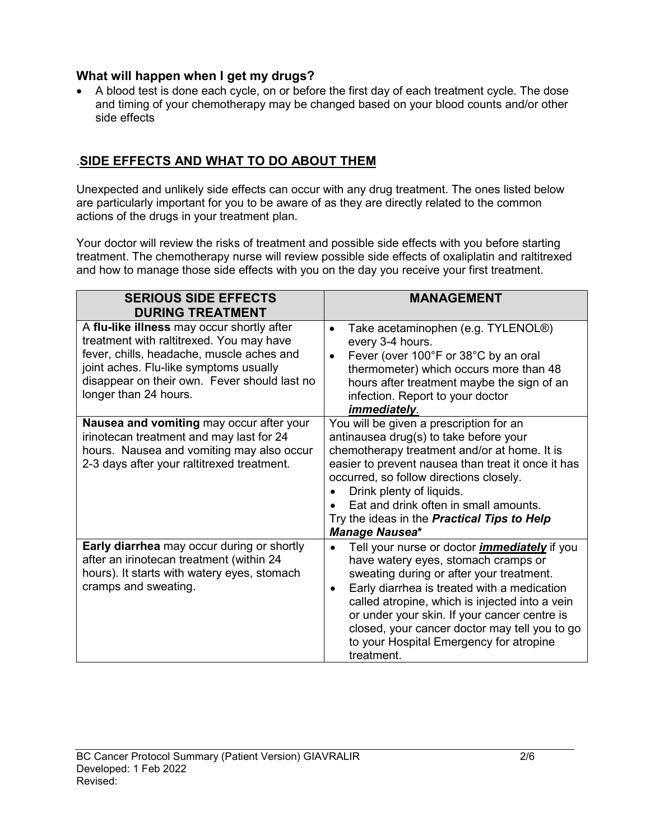#### **What will happen when I get my drugs?**

• A blood test is done each cycle, on or before the first day of each treatment cycle. The dose and timing of your chemotherapy may be changed based on your blood counts and/or other side effects

# .**SIDE EFFECTS AND WHAT TO DO ABOUT THEM**

Unexpected and unlikely side effects can occur with any drug treatment. The ones listed below are particularly important for you to be aware of as they are directly related to the common actions of the drugs in your treatment plan.

Your doctor will review the risks of treatment and possible side effects with you before starting treatment. The chemotherapy nurse will review possible side effects of oxaliplatin and raltitrexed and how to manage those side effects with you on the day you receive your first treatment.

| <b>SERIOUS SIDE EFFECTS</b><br><b>DURING TREATMENT</b>                                                                                                                                                                                                 | <b>MANAGEMENT</b>                                                                                                                                                                                                                                                                                                                                                                                                           |
|--------------------------------------------------------------------------------------------------------------------------------------------------------------------------------------------------------------------------------------------------------|-----------------------------------------------------------------------------------------------------------------------------------------------------------------------------------------------------------------------------------------------------------------------------------------------------------------------------------------------------------------------------------------------------------------------------|
| A flu-like illness may occur shortly after<br>treatment with raltitrexed. You may have<br>fever, chills, headache, muscle aches and<br>joint aches. Flu-like symptoms usually<br>disappear on their own. Fever should last no<br>longer than 24 hours. | Take acetaminophen (e.g. TYLENOL®)<br>$\bullet$<br>every 3-4 hours.<br>Fever (over 100°F or 38°C by an oral<br>$\bullet$<br>thermometer) which occurs more than 48<br>hours after treatment maybe the sign of an<br>infection. Report to your doctor<br>immediately.                                                                                                                                                        |
| Nausea and vomiting may occur after your<br>irinotecan treatment and may last for 24<br>hours. Nausea and vomiting may also occur<br>2-3 days after your raltitrexed treatment.                                                                        | You will be given a prescription for an<br>antinausea drug(s) to take before your<br>chemotherapy treatment and/or at home. It is<br>easier to prevent nausea than treat it once it has<br>occurred, so follow directions closely.<br>Drink plenty of liquids.<br>Eat and drink often in small amounts.<br>Try the ideas in the <b>Practical Tips to Help</b><br>Manage Nausea*                                             |
| <b>Early diarrhea</b> may occur during or shortly<br>after an irinotecan treatment (within 24<br>hours). It starts with watery eyes, stomach<br>cramps and sweating.                                                                                   | Tell your nurse or doctor <i>immediately</i> if you<br>$\bullet$<br>have watery eyes, stomach cramps or<br>sweating during or after your treatment.<br>Early diarrhea is treated with a medication<br>$\bullet$<br>called atropine, which is injected into a vein<br>or under your skin. If your cancer centre is<br>closed, your cancer doctor may tell you to go<br>to your Hospital Emergency for atropine<br>treatment. |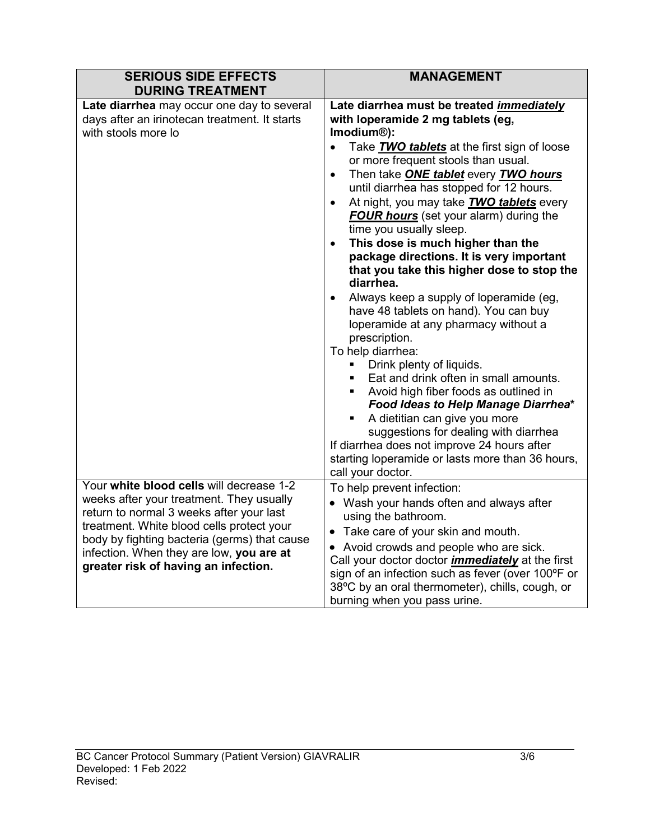| <b>SERIOUS SIDE EFFECTS</b><br><b>DURING TREATMENT</b>                                                                                                                                                                                                                                                            | <b>MANAGEMENT</b>                                                                                                                                                                                                                                                                                                                                                                                                                                                                                                                                                                                                                                                                                                                                                                                                                                                                                                                                                                                                                                                                                                                                                            |
|-------------------------------------------------------------------------------------------------------------------------------------------------------------------------------------------------------------------------------------------------------------------------------------------------------------------|------------------------------------------------------------------------------------------------------------------------------------------------------------------------------------------------------------------------------------------------------------------------------------------------------------------------------------------------------------------------------------------------------------------------------------------------------------------------------------------------------------------------------------------------------------------------------------------------------------------------------------------------------------------------------------------------------------------------------------------------------------------------------------------------------------------------------------------------------------------------------------------------------------------------------------------------------------------------------------------------------------------------------------------------------------------------------------------------------------------------------------------------------------------------------|
| Late diarrhea may occur one day to several<br>days after an irinotecan treatment. It starts<br>with stools more lo                                                                                                                                                                                                | Late diarrhea must be treated immediately<br>with loperamide 2 mg tablets (eg,<br>Imodium <sup>®</sup> ):<br>Take <b>TWO tablets</b> at the first sign of loose<br>$\bullet$<br>or more frequent stools than usual.<br>Then take <b>ONE tablet</b> every <b>TWO hours</b><br>$\bullet$<br>until diarrhea has stopped for 12 hours.<br>At night, you may take <b>TWO tablets</b> every<br>$\bullet$<br><b>FOUR hours</b> (set your alarm) during the<br>time you usually sleep.<br>This dose is much higher than the<br>$\bullet$<br>package directions. It is very important<br>that you take this higher dose to stop the<br>diarrhea.<br>Always keep a supply of loperamide (eg,<br>have 48 tablets on hand). You can buy<br>loperamide at any pharmacy without a<br>prescription.<br>To help diarrhea:<br>Drink plenty of liquids.<br>٠<br>Eat and drink often in small amounts.<br>• Avoid high fiber foods as outlined in<br>Food Ideas to Help Manage Diarrhea*<br>A dietitian can give you more<br>٠<br>suggestions for dealing with diarrhea<br>If diarrhea does not improve 24 hours after<br>starting loperamide or lasts more than 36 hours,<br>call your doctor. |
| Your white blood cells will decrease 1-2<br>weeks after your treatment. They usually<br>return to normal 3 weeks after your last<br>treatment. White blood cells protect your<br>body by fighting bacteria (germs) that cause<br>infection. When they are low, you are at<br>greater risk of having an infection. | To help prevent infection:<br>• Wash your hands often and always after<br>using the bathroom.<br>• Take care of your skin and mouth.<br>• Avoid crowds and people who are sick.<br>Call your doctor doctor <i>immediately</i> at the first<br>sign of an infection such as fever (over 100°F or<br>38°C by an oral thermometer), chills, cough, or<br>burning when you pass urine.                                                                                                                                                                                                                                                                                                                                                                                                                                                                                                                                                                                                                                                                                                                                                                                           |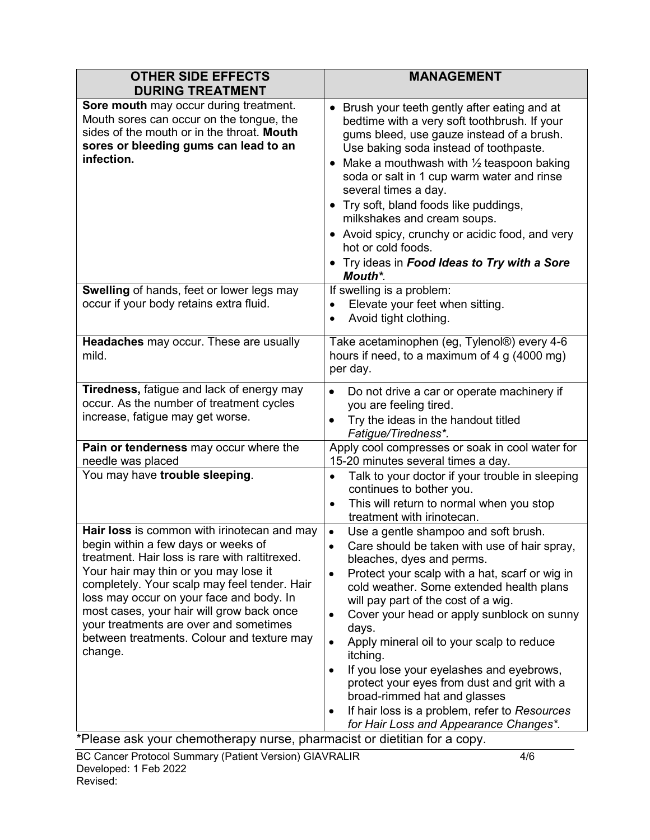| <b>OTHER SIDE EFFECTS</b><br><b>DURING TREATMENT</b>                                                                                                                                                                                                                                                                                                                                                                      | <b>MANAGEMENT</b>                                                                                                                                                                                                                                                                                                                                                                                                                                                                                                                                                                                                                             |
|---------------------------------------------------------------------------------------------------------------------------------------------------------------------------------------------------------------------------------------------------------------------------------------------------------------------------------------------------------------------------------------------------------------------------|-----------------------------------------------------------------------------------------------------------------------------------------------------------------------------------------------------------------------------------------------------------------------------------------------------------------------------------------------------------------------------------------------------------------------------------------------------------------------------------------------------------------------------------------------------------------------------------------------------------------------------------------------|
| Sore mouth may occur during treatment.<br>Mouth sores can occur on the tongue, the<br>sides of the mouth or in the throat. Mouth<br>sores or bleeding gums can lead to an<br>infection.                                                                                                                                                                                                                                   | • Brush your teeth gently after eating and at<br>bedtime with a very soft toothbrush. If your<br>gums bleed, use gauze instead of a brush.<br>Use baking soda instead of toothpaste.<br>Make a mouthwash with $\frac{1}{2}$ teaspoon baking<br>soda or salt in 1 cup warm water and rinse<br>several times a day.<br>• Try soft, bland foods like puddings,<br>milkshakes and cream soups.<br>• Avoid spicy, crunchy or acidic food, and very<br>hot or cold foods.<br>• Try ideas in Food Ideas to Try with a Sore<br>Mouth*.                                                                                                                |
| Swelling of hands, feet or lower legs may<br>occur if your body retains extra fluid.                                                                                                                                                                                                                                                                                                                                      | If swelling is a problem:<br>Elevate your feet when sitting.<br>$\bullet$<br>Avoid tight clothing.<br>$\bullet$                                                                                                                                                                                                                                                                                                                                                                                                                                                                                                                               |
| Headaches may occur. These are usually<br>mild.                                                                                                                                                                                                                                                                                                                                                                           | Take acetaminophen (eg, Tylenol®) every 4-6<br>hours if need, to a maximum of 4 g $(4000 \text{ mg})$<br>per day.                                                                                                                                                                                                                                                                                                                                                                                                                                                                                                                             |
| Tiredness, fatigue and lack of energy may<br>occur. As the number of treatment cycles<br>increase, fatigue may get worse.                                                                                                                                                                                                                                                                                                 | Do not drive a car or operate machinery if<br>you are feeling tired.<br>Try the ideas in the handout titled<br>Fatigue/Tiredness*.                                                                                                                                                                                                                                                                                                                                                                                                                                                                                                            |
| Pain or tenderness may occur where the<br>needle was placed                                                                                                                                                                                                                                                                                                                                                               | Apply cool compresses or soak in cool water for<br>15-20 minutes several times a day.                                                                                                                                                                                                                                                                                                                                                                                                                                                                                                                                                         |
| You may have trouble sleeping.                                                                                                                                                                                                                                                                                                                                                                                            | Talk to your doctor if your trouble in sleeping<br>$\bullet$<br>continues to bother you.<br>This will return to normal when you stop<br>$\bullet$<br>treatment with irinotecan.                                                                                                                                                                                                                                                                                                                                                                                                                                                               |
| Hair loss is common with irinotecan and may<br>begin within a few days or weeks of<br>treatment. Hair loss is rare with raltitrexed.<br>Your hair may thin or you may lose it<br>completely. Your scalp may feel tender. Hair<br>loss may occur on your face and body. In<br>most cases, your hair will grow back once<br>your treatments are over and sometimes<br>between treatments. Colour and texture may<br>change. | Use a gentle shampoo and soft brush.<br>$\bullet$<br>Care should be taken with use of hair spray,<br>bleaches, dyes and perms.<br>Protect your scalp with a hat, scarf or wig in<br>$\bullet$<br>cold weather. Some extended health plans<br>will pay part of the cost of a wig.<br>Cover your head or apply sunblock on sunny<br>days.<br>Apply mineral oil to your scalp to reduce<br>$\bullet$<br>itching.<br>If you lose your eyelashes and eyebrows,<br>٠<br>protect your eyes from dust and grit with a<br>broad-rimmed hat and glasses<br>If hair loss is a problem, refer to Resources<br>٠<br>for Hair Loss and Appearance Changes*. |

\*Please ask your chemotherapy nurse, pharmacist or dietitian for a copy.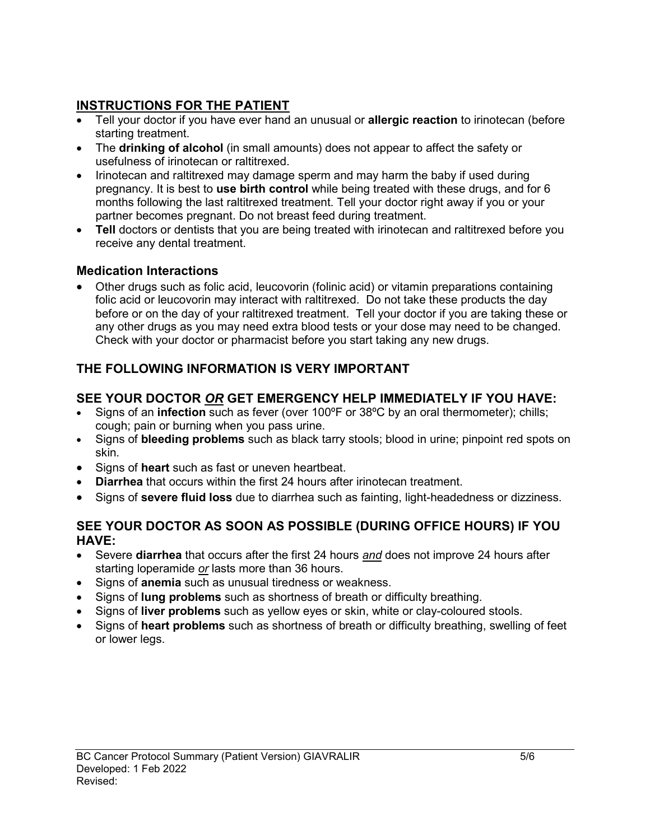# **INSTRUCTIONS FOR THE PATIENT**

- Tell your doctor if you have ever hand an unusual or **allergic reaction** to irinotecan (before starting treatment.
- The **drinking of alcohol** (in small amounts) does not appear to affect the safety or usefulness of irinotecan or raltitrexed.
- Irinotecan and raltitrexed may damage sperm and may harm the baby if used during pregnancy. It is best to **use birth control** while being treated with these drugs, and for 6 months following the last raltitrexed treatment. Tell your doctor right away if you or your partner becomes pregnant. Do not breast feed during treatment.
- Tell doctors or dentists that you are being treated with irinotecan and raltitrexed before you receive any dental treatment.

# **Medication Interactions**

• Other drugs such as folic acid, leucovorin (folinic acid) or vitamin preparations containing folic acid or leucovorin may interact with raltitrexed. Do not take these products the day before or on the day of your raltitrexed treatment. Tell your doctor if you are taking these or any other drugs as you may need extra blood tests or your dose may need to be changed. Check with your doctor or pharmacist before you start taking any new drugs.

# **THE FOLLOWING INFORMATION IS VERY IMPORTANT**

# **SEE YOUR DOCTOR** *OR* **GET EMERGENCY HELP IMMEDIATELY IF YOU HAVE:**

- Signs of an **infection** such as fever (over 100ºF or 38ºC by an oral thermometer); chills; cough; pain or burning when you pass urine.
- Signs of **bleeding problems** such as black tarry stools; blood in urine; pinpoint red spots on skin.
- Signs of **heart** such as fast or uneven heartbeat.
- **Diarrhea** that occurs within the first 24 hours after irinotecan treatment.
- Signs of **severe fluid loss** due to diarrhea such as fainting, light-headedness or dizziness.

## **SEE YOUR DOCTOR AS SOON AS POSSIBLE (DURING OFFICE HOURS) IF YOU HAVE:**

- Severe **diarrhea** that occurs after the first 24 hours *and* does not improve 24 hours after starting loperamide *or* lasts more than 36 hours.
- Signs of **anemia** such as unusual tiredness or weakness.
- Signs of **lung problems** such as shortness of breath or difficulty breathing.
- Signs of **liver problems** such as yellow eyes or skin, white or clay-coloured stools.
- Signs of **heart problems** such as shortness of breath or difficulty breathing, swelling of feet or lower legs.